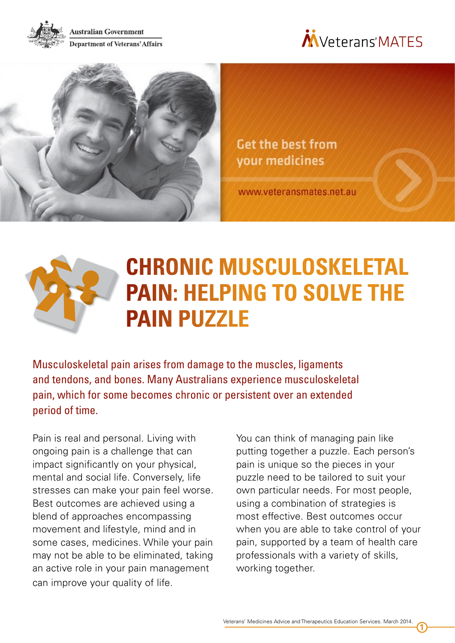

**Australian Government Department of Veterans' Affairs** 





**Get the best from** your medicines

www.veteransmates.net.au



# **CHRONIC MUSCULOSKELETAL PAIN: HELPING TO SOLVE THE PAIN PUZZLE**

Musculoskeletal pain arises from damage to the muscles, ligaments and tendons, and bones. Many Australians experience musculoskeletal pain, which for some becomes chronic or persistent over an extended period of time.

Pain is real and personal. Living with ongoing pain is a challenge that can impact significantly on your physical, mental and social life. Conversely, life stresses can make your pain feel worse. Best outcomes are achieved using a blend of approaches encompassing movement and lifestyle, mind and in some cases, medicines. While your pain may not be able to be eliminated, taking an active role in your pain management can improve your quality of life.

You can think of managing pain like putting together a puzzle. Each person's pain is unique so the pieces in your puzzle need to be tailored to suit your own particular needs. For most people, using a combination of strategies is most effective. Best outcomes occur when you are able to take control of your pain, supported by a team of health care professionals with a variety of skills, working together.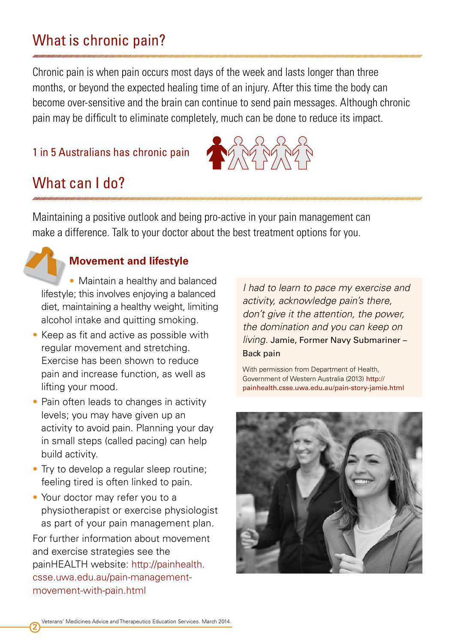## What is chronic pain?

Chronic pain is when pain occurs most days of the week and lasts longer than three months, or beyond the expected healing time of an injury. After this time the body can become over-sensitive and the brain can continue to send pain messages. Although chronic pain may be difficult to eliminate completely, much can be done to reduce its impact.

### 1 in 5 Australians has chronic pain



### What can I do?

Maintaining a positive outlook and being pro-active in your pain management can make a difference. Talk to your doctor about the best treatment options for you.

#### **Movement and lifestyle**

• Maintain a healthy and balanced lifestyle; this involves enjoying a balanced diet, maintaining a healthy weight, limiting alcohol intake and quitting smoking.

- Keep as fit and active as possible with regular movement and stretching. Exercise has been shown to reduce pain and increase function, as well as lifting your mood.
- Pain often leads to changes in activity levels; you may have given up an activity to avoid pain. Planning your day in small steps (called pacing) can help build activity.
- Try to develop a regular sleep routine; feeling tired is often linked to pain.
- Your doctor may refer you to a physiotherapist or exercise physiologist as part of your pain management plan.

For further information about movement and exercise strategies see the painHEALTH website: [http://painhealth.](http://painhealth.csse.uwa.edu.au/pain-management-movement-with-pain.html) [csse.uwa.edu.au/pain-management](http://painhealth.csse.uwa.edu.au/pain-management-movement-with-pain.html)[movement-with-pain.html](http://painhealth.csse.uwa.edu.au/pain-management-movement-with-pain.html)

*I had to learn to pace my exercise and activity, acknowledge pain's there, don't give it the attention, the power, the domination and you can keep on living.* Jamie, Former Navy Submariner – Back pain

With permission from Department of Health, Government of Western Australia (2013) [http://](http://painhealth.csse.uwa.edu.au/pain-story-jamie.html) [painhealth.csse.uwa.edu.au/pain-story-jamie.html](http://painhealth.csse.uwa.edu.au/pain-story-jamie.html)

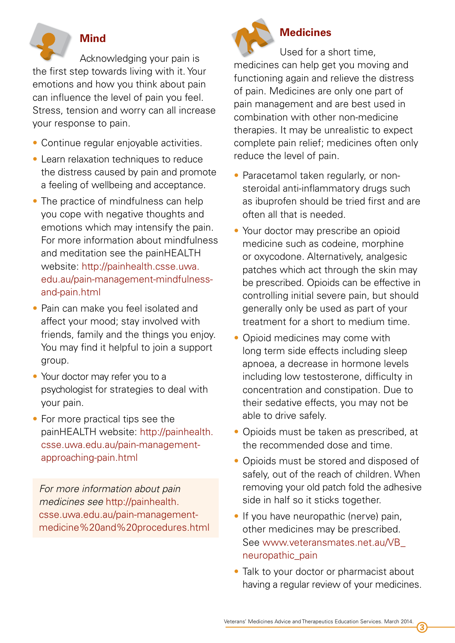

### **Mind**

Acknowledging your pain is the first step towards living with it. Your emotions and how you think about pain can influence the level of pain you feel. Stress, tension and worry can all increase your response to pain.

- Continue regular enjoyable activities.
- Learn relaxation techniques to reduce the distress caused by pain and promote a feeling of wellbeing and acceptance.
- The practice of mindfulness can help you cope with negative thoughts and emotions which may intensify the pain. For more information about mindfulness and meditation see the painHEALTH website: [http://painhealth.csse.uwa.](http://painhealth.csse.uwa.edu.au/pain-management-mindfulness-and-pain.html) [edu.au/pain-management-mindfulness](http://painhealth.csse.uwa.edu.au/pain-management-mindfulness-and-pain.html)[and-pain.html](http://painhealth.csse.uwa.edu.au/pain-management-mindfulness-and-pain.html)
- Pain can make you feel isolated and affect your mood; stay involved with friends, family and the things you enjoy. You may find it helpful to join a support group.
- Your doctor may refer you to a psychologist for strategies to deal with your pain.
- For more practical tips see the painHEALTH website: [http://painhealth.](http://painhealth.csse.uwa.edu.au/pain-management-approaching-pain.html) [csse.uwa.edu.au/pain-management](http://painhealth.csse.uwa.edu.au/pain-management-approaching-pain.html)[approaching-pain.html](http://painhealth.csse.uwa.edu.au/pain-management-approaching-pain.html)

*For more information about pain medicines see* [http://painhealth.](http://painhealth.csse.uwa.edu.au/pain-management-medicine%20and%20procedures.html) [csse.uwa.edu.au/pain-management](http://painhealth.csse.uwa.edu.au/pain-management-medicine%20and%20procedures.html)[medicine%20and%20procedures.html](http://painhealth.csse.uwa.edu.au/pain-management-medicine%20and%20procedures.html)



## **Medicines**

Used for a short time, medicines can help get you moving and functioning again and relieve the distress of pain. Medicines are only one part of pain management and are best used in combination with other non-medicine therapies. It may be unrealistic to expect complete pain relief; medicines often only reduce the level of pain.

- Paracetamol taken regularly, or nonsteroidal anti-inflammatory drugs such as ibuprofen should be tried first and are often all that is needed.
- Your doctor may prescribe an opioid medicine such as codeine, morphine or oxycodone. Alternatively, analgesic patches which act through the skin may be prescribed. Opioids can be effective in controlling initial severe pain, but should generally only be used as part of your treatment for a short to medium time.
- Opioid medicines may come with long term side effects including sleep apnoea, a decrease in hormone levels including low testosterone, difficulty in concentration and constipation. Due to their sedative effects, you may not be able to drive safely.
- Opioids must be taken as prescribed, at the recommended dose and time.
- Opioids must be stored and disposed of safely, out of the reach of children. When removing your old patch fold the adhesive side in half so it sticks together.
- If you have neuropathic (nerve) pain, other medicines may be prescribed. See [www.veteransmates.net.au/VB\\_](http://www.veteransmates.net.au/VB_neuropathic_pain) [neuropathic\\_pain](http://www.veteransmates.net.au/VB_neuropathic_pain)
- Talk to your doctor or pharmacist about having a regular review of your medicines.